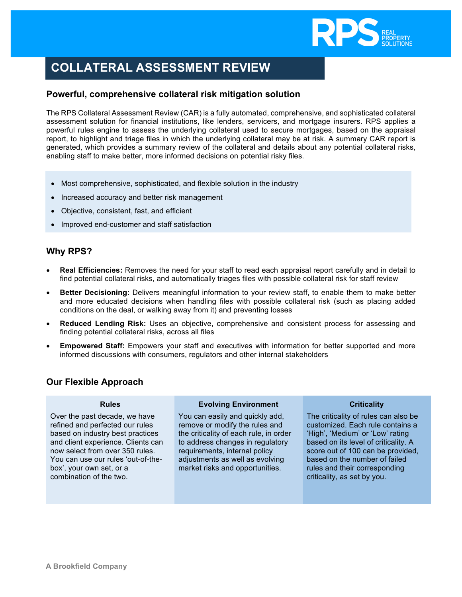

# **COLLATERAL ASSESSMENT REVIEW**

## **Powerful, comprehensive collateral risk mitigation solution**

The RPS Collateral Assessment Review (CAR) is a fully automated, comprehensive, and sophisticated collateral assessment solution for financial institutions, like lenders, servicers, and mortgage insurers. RPS applies a powerful rules engine to assess the underlying collateral used to secure mortgages, based on the appraisal report, to highlight and triage files in which the underlying collateral may be at risk. A summary CAR report is generated, which provides a summary review of the collateral and details about any potential collateral risks, enabling staff to make better, more informed decisions on potential risky files.

- Most comprehensive, sophisticated, and flexible solution in the industry
- Increased accuracy and better risk management
- Objective, consistent, fast, and efficient
- Improved end-customer and staff satisfaction

# **Why RPS?**

- **Real Efficiencies:** Removes the need for your staff to read each appraisal report carefully and in detail to find potential collateral risks, and automatically triages files with possible collateral risk for staff review
- **Better Decisioning:** Delivers meaningful information to your review staff, to enable them to make better and more educated decisions when handling files with possible collateral risk (such as placing added conditions on the deal, or walking away from it) and preventing losses
- **Reduced Lending Risk:** Uses an objective, comprehensive and consistent process for assessing and finding potential collateral risks, across all files
- **Empowered Staff:** Empowers your staff and executives with information for better supported and more informed discussions with consumers, regulators and other internal stakeholders

# **Our Flexible Approach**

#### **Rules**

Over the past decade, we have refined and perfected our rules based on industry best practices and client experience. Clients can now select from over 350 rules. You can use our rules 'out-of-thebox', your own set, or a combination of the two.

#### **Evolving Environment**

You can easily and quickly add, remove or modify the rules and the criticality of each rule, in order to address changes in regulatory requirements, internal policy adjustments as well as evolving market risks and opportunities.

#### **Criticality**

The criticality of rules can also be customized. Each rule contains a 'High', 'Medium' or 'Low' rating based on its level of criticality. A score out of 100 can be provided, based on the number of failed rules and their corresponding criticality, as set by you.